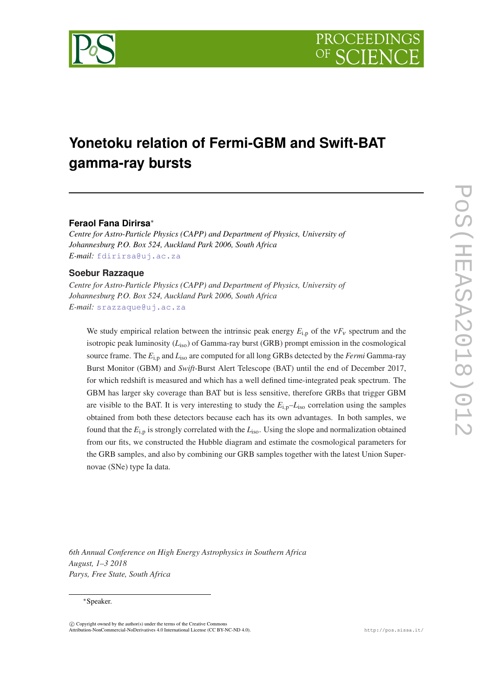

# **Yonetoku relation of Fermi-GBM and Swift-BAT gamma-ray bursts**

## **Feraol Fana Dirirsa**<sup>∗</sup>

*Centre for Astro-Particle Physics (CAPP) and Department of Physics, University of Johannesburg P.O. Box 524, Auckland Park 2006, South Africa E-mail:* [fdirirsa@uj.ac.za](mailto:fdirirsa@uj.ac.za)

### **Soebur Razzaque**

*Centre for Astro-Particle Physics (CAPP) and Department of Physics, University of Johannesburg P.O. Box 524, Auckland Park 2006, South Africa E-mail:* [srazzaque@uj.ac.za](mailto:srazzaque@uj.ac.za)

We study empirical relation between the intrinsic peak energy  $E_{i,p}$  of the  $vF_v$  spectrum and the isotropic peak luminosity (*L*iso) of Gamma-ray burst (GRB) prompt emission in the cosmological source frame. The  $E_{i,p}$  and  $L_{iso}$  are computed for all long GRBs detected by the *Fermi* Gamma-ray Burst Monitor (GBM) and *Swift*-Burst Alert Telescope (BAT) until the end of December 2017, for which redshift is measured and which has a well defined time-integrated peak spectrum. The GBM has larger sky coverage than BAT but is less sensitive, therefore GRBs that trigger GBM are visible to the BAT. It is very interesting to study the  $E_{i,p}-L_{iso}$  correlation using the samples obtained from both these detectors because each has its own advantages. In both samples, we found that the *E*i,<sup>p</sup> is strongly correlated with the *L*iso. Using the slope and normalization obtained from our fits, we constructed the Hubble diagram and estimate the cosmological parameters for the GRB samples, and also by combining our GRB samples together with the latest Union Supernovae (SNe) type Ia data.

*6th Annual Conference on High Energy Astrophysics in Southern Africa August, 1–3 2018 Parys, Free State, South Africa*

#### <sup>∗</sup>Speaker.

 $(C)$  Copyright owned by the author(s) under the terms of the Creative Common Attribution-NonCommercial-NoDerivatives 4.0 International License (CC BY-NC-ND 4.0). http://pos.sissa.it/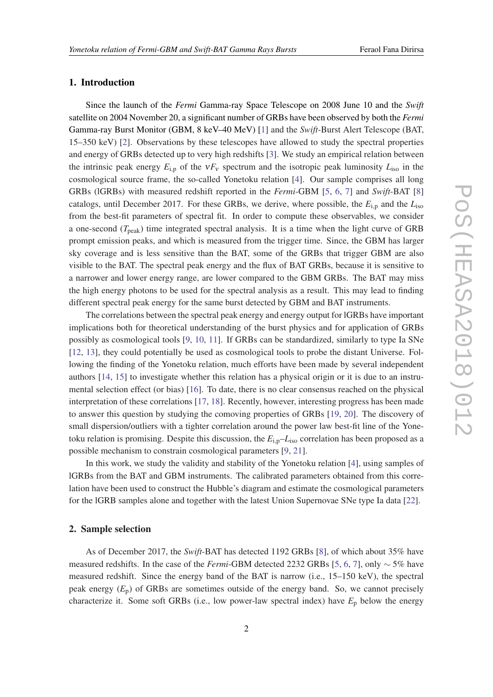## 1. Introduction

Since the launch of the *Fermi* Gamma-ray Space Telescope on 2008 June 10 and the *Swift* satellite on 2004 November 20, a significant number of GRBs have been observed by both the *Fermi* Gamma-ray Burst Monitor (GBM, 8 keV–40 MeV) [\[1\]](#page-6-0) and the *Swift*-Burst Alert Telescope (BAT, 15–350 keV) [\[2\]](#page-7-0). Observations by these telescopes have allowed to study the spectral properties and energy of GRBs detected up to very high redshifts [\[3\]](#page-7-0). We study an empirical relation between the intrinsic peak energy  $E_{i,p}$  of the  $vF_v$  spectrum and the isotropic peak luminosity  $L_{iso}$  in the cosmological source frame, the so-called Yonetoku relation [\[4\]](#page-7-0). Our sample comprises all long GRBs (lGRBs) with measured redshift reported in the *Fermi*-GBM [[5](#page-7-0), [6](#page-7-0), [7](#page-7-0)] and *Swift*-BAT [[8](#page-7-0)] catalogs, until December 2017. For these GRBs, we derive, where possible, the *E*i,<sup>p</sup> and the *L*iso from the best-fit parameters of spectral fit. In order to compute these observables, we consider a one-second (*T*peak) time integrated spectral analysis. It is a time when the light curve of GRB prompt emission peaks, and which is measured from the trigger time. Since, the GBM has larger sky coverage and is less sensitive than the BAT, some of the GRBs that trigger GBM are also visible to the BAT. The spectral peak energy and the flux of BAT GRBs, because it is sensitive to a narrower and lower energy range, are lower compared to the GBM GRBs. The BAT may miss the high energy photons to be used for the spectral analysis as a result. This may lead to finding different spectral peak energy for the same burst detected by GBM and BAT instruments.

The correlations between the spectral peak energy and energy output for lGRBs have important implications both for theoretical understanding of the burst physics and for application of GRBs possibly as cosmological tools [\[9,](#page-7-0) [10](#page-7-0), [11\]](#page-7-0). If GRBs can be standardized, similarly to type Ia SNe [[12,](#page-7-0) [13\]](#page-7-0), they could potentially be used as cosmological tools to probe the distant Universe. Following the finding of the Yonetoku relation, much efforts have been made by several independent authors [\[14](#page-7-0), [15](#page-7-0)] to investigate whether this relation has a physical origin or it is due to an instrumental selection effect (or bias) [[16\]](#page-7-0). To date, there is no clear consensus reached on the physical interpretation of these correlations [[17,](#page-7-0) [18\]](#page-7-0). Recently, however, interesting progress has been made to answer this question by studying the comoving properties of GRBs [[19,](#page-7-0) [20](#page-7-0)]. The discovery of small dispersion/outliers with a tighter correlation around the power law best-fit line of the Yonetoku relation is promising. Despite this discussion, the  $E_{i,p}$ – $L_{iso}$  correlation has been proposed as a possible mechanism to constrain cosmological parameters [\[9,](#page-7-0) [21](#page-7-0)].

In this work, we study the validity and stability of the Yonetoku relation [\[4](#page-7-0)], using samples of lGRBs from the BAT and GBM instruments. The calibrated parameters obtained from this correlation have been used to construct the Hubble's diagram and estimate the cosmological parameters for the lGRB samples alone and together with the latest Union Supernovae SNe type Ia data [[22\]](#page-7-0).

### 2. Sample selection

As of December 2017, the *Swift*-BAT has detected 1192 GRBs [\[8\]](#page-7-0), of which about 35% have measured redshifts. In the case of the *Fermi*-GBM detected 2232 GRBs [\[5,](#page-7-0) [6,](#page-7-0) [7\]](#page-7-0), only ∼ 5% have measured redshift. Since the energy band of the BAT is narrow (i.e., 15–150 keV), the spectral peak energy  $(E_p)$  of GRBs are sometimes outside of the energy band. So, we cannot precisely characterize it. Some soft GRBs (i.e., low power-law spectral index) have  $E_p$  below the energy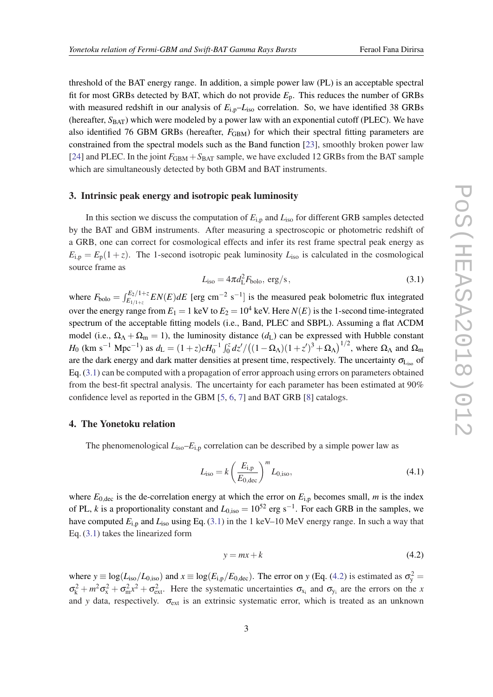<span id="page-2-0"></span>threshold of the BAT energy range. In addition, a simple power law (PL) is an acceptable spectral fit for most GRBs detected by BAT, which do not provide *E*p. This reduces the number of GRBs with measured redshift in our analysis of  $E_{i,p}$ – $L_{iso}$  correlation. So, we have identified 38 GRBs (hereafter, S<sub>BAT</sub>) which were modeled by a power law with an exponential cutoff (PLEC). We have also identified 76 GBM GRBs (hereafter,  $F_{\text{GBM}}$ ) for which their spectral fitting parameters are constrained from the spectral models such as the Band function [\[23](#page-7-0)], smoothly broken power law [[24\]](#page-7-0) and PLEC. In the joint  $F_{GBM} + S_{BAT}$  sample, we have excluded 12 GRBs from the BAT sample which are simultaneously detected by both GBM and BAT instruments.

## 3. Intrinsic peak energy and isotropic peak luminosity

In this section we discuss the computation of  $E_{i,p}$  and  $L_{iso}$  for different GRB samples detected by the BAT and GBM instruments. After measuring a spectroscopic or photometric redshift of a GRB, one can correct for cosmological effects and infer its rest frame spectral peak energy as  $E_{i,p} = E_p(1+z)$ . The 1-second isotropic peak luminosity  $L_{iso}$  is calculated in the cosmological source frame as

$$
Liso = 4\pi dL2 Fbolo, \text{erg/s},
$$
\n(3.1)

where  $F_{\text{bolo}} = \int_{E_{1/1+\zeta}}^{E_2/1+\zeta} EN(E) dE$  [erg cm<sup>-2</sup> s<sup>-1</sup>] is the measured peak bolometric flux integrated over the energy range from  $E_1 = 1$  keV to  $E_2 = 10^4$  keV. Here  $N(E)$  is the 1-second time-integrated spectrum of the acceptable fitting models (i.e., Band, PLEC and SBPL). Assuming a flat ΛCDM model (i.e.,  $\Omega_{\Lambda} + \Omega_{\rm m} = 1$ ), the luminosity distance ( $d_{\rm L}$ ) can be expressed with Hubble constant *H*<sub>0</sub> (km s<sup>-1</sup> Mpc<sup>-1</sup>) as  $d_L = (1+z)cH_0^{-1} \int_0^z dz' / ((1 - \Omega_Λ)(1 + z')^3 + \Omega_Λ)^{1/2}$ , where  $\Omega_Λ$  and  $\Omega_m$ are the dark energy and dark matter densities at present time, respectively. The uncertainty  $\sigma_{\text{Liss}}$  of Eq. (3.1) can be computed with a propagation of error approach using errors on parameters obtained from the best-fit spectral analysis. The uncertainty for each parameter has been estimated at 90% confidence level as reported in the GBM [\[5,](#page-7-0) [6,](#page-7-0) [7](#page-7-0)] and BAT GRB [\[8\]](#page-7-0) catalogs.

## 4. The Yonetoku relation

The phenomenological  $L_{\text{iso}}-E_{\text{i,p}}$  correlation can be described by a simple power law as

$$
L_{\rm iso} = k \left(\frac{E_{\rm i,p}}{E_{0,\rm dec}}\right)^m L_{0,\rm iso},
$$
\n(4.1)

where  $E_{0,\text{dec}}$  is the de-correlation energy at which the error on  $E_{i,p}$  becomes small, *m* is the index of PL, *k* is a proportionality constant and  $L_{0,iso} = 10^{52}$  erg s<sup>-1</sup>. For each GRB in the samples, we have computed  $E_{i,p}$  and  $L_{iso}$  using Eq. (3.1) in the 1 keV–10 MeV energy range. In such a way that Eq. (3.1) takes the linearized form

$$
y = mx + k \tag{4.2}
$$

where  $y \equiv \log(L_{\text{iso}}/L_{0,\text{iso}})$  and  $x \equiv \log(E_{\text{i,p}}/E_{0,\text{dec}})$ . The error on *y* (Eq. (4.2) is estimated as  $\sigma_y^2 =$  $\sigma_{k}^2 + m^2 \sigma_{x}^2 + \sigma_{m}^2 x^2 + \sigma_{ext}^2$ . Here the systematic uncertainties  $\sigma_{x_i}$  and  $\sigma_{y_i}$  are the errors on the *x* and *y* data, respectively.  $\sigma_{ext}$  is an extrinsic systematic error, which is treated as an unknown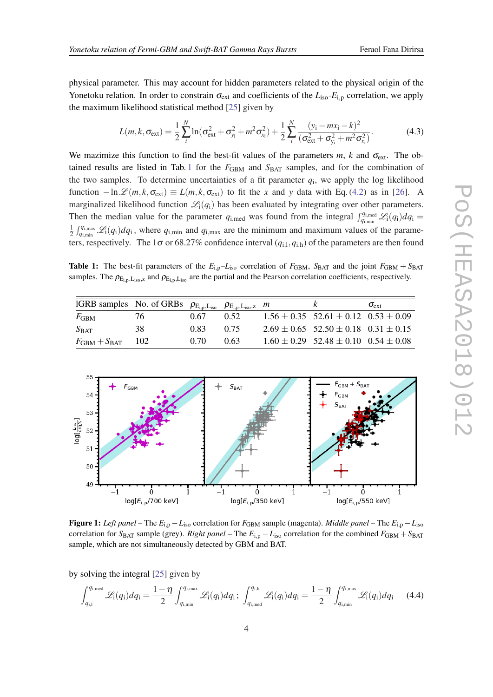<span id="page-3-0"></span>physical parameter. This may account for hidden parameters related to the physical origin of the Yonetoku relation. In order to constrain  $\sigma_{ext}$  and coefficients of the  $L_{iso}$ - $E_{i,p}$  correlation, we apply the maximum likelihood statistical method [\[25](#page-7-0)] given by

$$
L(m,k,\sigma_{\text{ext}}) = \frac{1}{2} \sum_{i}^{N} \ln(\sigma_{\text{ext}}^2 + \sigma_{y_i}^2 + m^2 \sigma_{x_i}^2) + \frac{1}{2} \sum_{i}^{N} \frac{(y_i - mx_i - k)^2}{(\sigma_{\text{ext}}^2 + \sigma_{y_i}^2 + m^2 \sigma_{x_i}^2)}.
$$
(4.3)

We mazimize this function to find the best-fit values of the parameters  $m$ ,  $k$  and  $\sigma_{ext}$ . The obtained results are listed in Tab. 1 for the  $F_{GBM}$  and  $S_{BAT}$  samples, and for the combination of the two samples. To determine uncertainties of a fit parameter  $q_i$ , we apply the log likelihood function  $-\ln\mathcal{L}(m, k, \sigma_{ext}) \equiv L(m, k, \sigma_{ext})$  to fit the *x* and *y* data with Eq. ([4.2](#page-2-0)) as in [[26\]](#page-7-0). A marginalized likelihood function  $\mathcal{L}_i(q_i)$  has been evaluated by integrating over other parameters. Then the median value for the parameter  $q_{i,med}$  was found from the integral  $\int_{q_{i,min}}^{q_{i,med}} \mathcal{L}_i(q_i) dq_i =$ 1  $\frac{1}{2} \int_{q_{i,min}}^{q_{i,max}} \mathcal{L}_i(q_i) dq_i$ , where  $q_{i,min}$  and  $q_{i,max}$  are the minimum and maximum values of the parameters, respectively. The  $1\sigma$  or 68.27% confidence interval  $(q_{i,1}, q_{i,h})$  of the parameters are then found

**Table 1:** The best-fit parameters of the  $E_{i,p}$ – $L_{iso}$  correlation of  $F_{GBM}$ ,  $S_{BAT}$  and the joint  $F_{GBM}$  +  $S_{BAT}$ samples. The  $\rho_{E_{i,p},L_{iso},z}$  and  $\rho_{E_{i,p},L_{iso}}$  are the partial and the Pearson correlation coefficients, respectively.

| IGRB samples No. of GRBs $\rho_{E_{i,p},L_{iso}}$ $\rho_{E_{i,p},L_{iso},Z}$ m |     |      |      |                                                  | $\sigma_{\rm ext}$ |
|--------------------------------------------------------------------------------|-----|------|------|--------------------------------------------------|--------------------|
| $F_{\rm GBM}$                                                                  | 76. | 0.67 | 0.52 | $1.56 \pm 0.35$ 52.61 $\pm$ 0.12 0.53 $\pm$ 0.09 |                    |
| $S_{\text{BAT}}$                                                               | 38  | 0.83 | 0.75 | $2.69 \pm 0.65$ 52.50 $\pm$ 0.18 0.31 $\pm$ 0.15 |                    |
| $F_{\rm GBM}+S_{\rm BAT}$                                                      | 102 | 0.70 | 0.63 | $1.60 \pm 0.29$ 52.48 $\pm$ 0.10 0.54 $\pm$ 0.08 |                    |



**Figure 1:** *Left panel* – The  $E_{i,p} - L_{iso}$  correlation for  $F_{GBM}$  sample (magenta). *Middle panel* – The  $E_{i,p} - L_{iso}$ correlation for  $S_{\text{BAT}}$  sample (grey). *Right panel* – The  $E_{\text{i,p}} - L_{\text{iso}}$  correlation for the combined  $F_{\text{GBM}} + S_{\text{BAT}}$ sample, which are not simultaneously detected by GBM and BAT.

by solving the integral [\[25](#page-7-0)] given by

$$
\int_{q_{\rm i,l}}^{q_{\rm i,med}} \mathcal{L}_{\rm i}(q_{\rm i}) dq_{\rm i} = \frac{1-\eta}{2} \int_{q_{\rm i,min}}^{q_{\rm i, max}} \mathcal{L}_{\rm i}(q_{\rm i}) dq_{\rm i}; \ \int_{q_{\rm i,med}}^{q_{\rm i, h}} \mathcal{L}_{\rm i}(q_{\rm i}) dq_{\rm i} = \frac{1-\eta}{2} \int_{q_{\rm i, min}}^{q_{\rm i, max}} \mathcal{L}_{\rm i}(q_{\rm i}) dq_{\rm i} \tag{4.4}
$$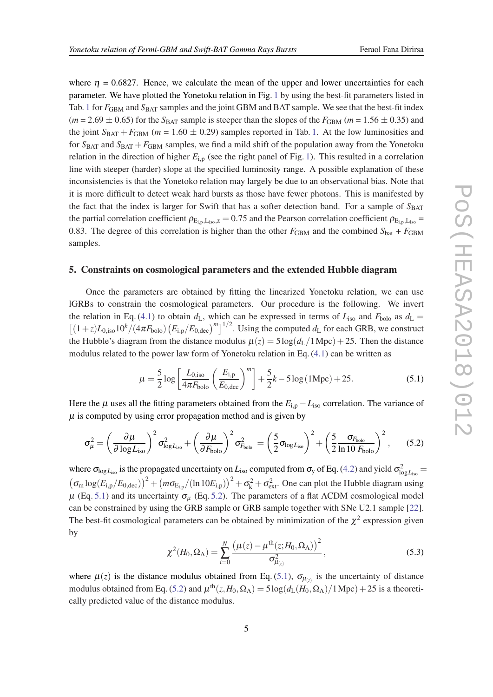where  $\eta = 0.6827$ . Hence, we calculate the mean of the upper and lower uncertainties for each parameter. We have plotted the Yonetoku relation in Fig. [1](#page-3-0) by using the best-fit parameters listed in Tab. [1](#page-3-0) for  $F_{\text{GBM}}$  and  $S_{\text{BAT}}$  samples and the joint GBM and BAT sample. We see that the best-fit index  $(m = 2.69 \pm 0.65)$  for the  $S_{BAT}$  sample is steeper than the slopes of the  $F_{GBM}$   $(m = 1.56 \pm 0.35)$  and the joint  $S_{\text{BAT}} + F_{\text{GBM}}$  ( $m = 1.60 \pm 0.29$  $m = 1.60 \pm 0.29$  $m = 1.60 \pm 0.29$ ) samples reported in Tab. 1. At the low luminosities and for  $S<sub>BAT</sub>$  and  $S<sub>BAT</sub> + F<sub>GBM</sub>$  samples, we find a mild shift of the population away from the Yonetoku relation in the direction of higher  $E_{i,p}$  (see the right panel of Fig. [1\)](#page-3-0). This resulted in a correlation line with steeper (harder) slope at the specified luminosity range. A possible explanation of these inconsistencies is that the Yonetoko relation may largely be due to an observational bias. Note that it is more difficult to detect weak hard bursts as those have fewer photons. This is manifested by the fact that the index is larger for Swift that has a softer detection band. For a sample of  $S_{\text{BAT}}$ the partial correlation coefficient  $\rho_{E_{i,p},L_{iso},z} = 0.75$  and the Pearson correlation coefficient  $\rho_{E_{i,p},L_{iso}} =$ 0.83. The degree of this correlation is higher than the other  $F_{\text{GBM}}$  and the combined  $S_{\text{bat}} + F_{\text{GBM}}$ samples.

### 5. Constraints on cosmological parameters and the extended Hubble diagram

Once the parameters are obtained by fitting the linearized Yonetoku relation, we can use lGRBs to constrain the cosmological parameters. Our procedure is the following. We invert the relation in Eq. ([4.1](#page-2-0)) to obtain  $d_L$ , which can be expressed in terms of  $L_{iso}$  and  $F_{bolo}$  as  $d_L =$  $\left[ (1+z)L_{0,\text{iso}}10^{k}/(4\pi F_{\text{bolo}})\left(E_{\text{i,p}}/E_{0,\text{dec}}\right)^{m} \right]^{1/2}$ . Using the computed  $d_{\text{L}}$  for each GRB, we construct the Hubble's diagram from the distance modulus  $\mu(z) = 5 \log(d_L/1 \text{ Mpc}) + 25$ . Then the distance modulus related to the power law form of Yonetoku relation in Eq. [\(4.1\)](#page-2-0) can be written as

$$
\mu = \frac{5}{2} \log \left[ \frac{L_{0,\text{iso}}}{4\pi F_{\text{bolo}}} \left( \frac{E_{\text{i,p}}}{E_{0,\text{dec}}} \right)^m \right] + \frac{5}{2} k - 5 \log (1 \text{Mpc}) + 25. \tag{5.1}
$$

Here the  $\mu$  uses all the fitting parameters obtained from the  $E_{i,p} - L_{iso}$  correlation. The variance of  $\mu$  is computed by using error propagation method and is given by

$$
\sigma_{\mu}^{2} = \left(\frac{\partial \mu}{\partial \log L_{\rm iso}}\right)^{2} \sigma_{\log L_{\rm iso}}^{2} + \left(\frac{\partial \mu}{\partial F_{\rm bolo}}\right)^{2} \sigma_{F_{\rm bolo}}^{2} = \left(\frac{5}{2} \sigma_{\log L_{\rm iso}}\right)^{2} + \left(\frac{5}{2} \frac{\sigma_{F_{\rm bolo}}}{\ln 10 F_{\rm bolo}}\right)^{2},\tag{5.2}
$$

where  $\sigma_{\log L_{\rm iso}}$  is the propagated uncertainty on  $L_{\rm iso}$  computed from  $\sigma_{\rm y}$  of Eq. [\(4.2](#page-2-0)) and yield  $\sigma_{\log L_{\rm iso}}^2 =$  $(\sigma_m \log(E_{i,p}/E_{0,\text{dec}}))^2 + (m\sigma_{E_{i,p}}/(ln 10E_{i,p}))^2 + \sigma_k^2 + \sigma_{\text{ext}}^2$ . One can plot the Hubble diagram using  $\mu$  (Eq. 5.1) and its uncertainty  $\sigma_{\mu}$  (Eq. 5.2). The parameters of a flat ΛCDM cosmological model can be constrained by using the GRB sample or GRB sample together with SNe U2.1 sample [[22\]](#page-7-0). The best-fit cosmological parameters can be obtained by minimization of the  $\chi^2$  expression given by

$$
\chi^2(H_0, \Omega_\Lambda) = \sum_{i=0}^N \frac{\left(\mu(z) - \mu^{\text{th}}(z; H_0, \Omega_\Lambda)\right)^2}{\sigma_{\mu(z)}^2},\tag{5.3}
$$

where  $\mu(z)$  is the distance modulus obtained from Eq. (5.1),  $\sigma_{\mu(z)}$  is the uncertainty of distance modulus obtained from Eq. (5.2) and  $\mu^{th}(z, H_0, \Omega_\Lambda) = 5 \log(d_L(H_0, \Omega_\Lambda)/1 \text{ Mpc}) + 25$  is a theoretically predicted value of the distance modulus.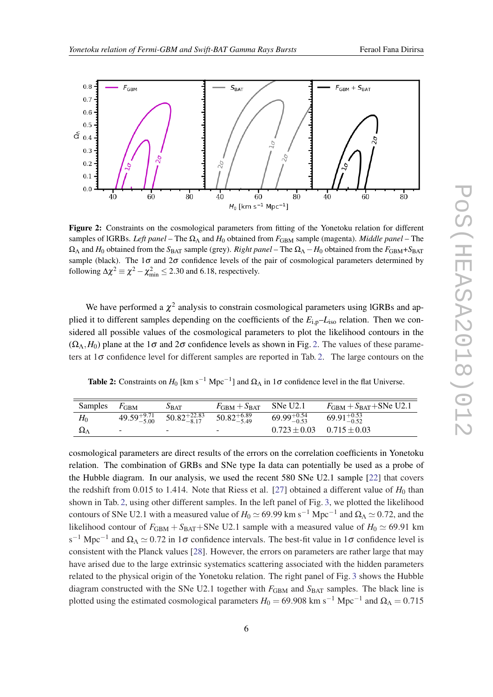

Figure 2: Constraints on the cosmological parameters from fitting of the Yonetoku relation for different samples of lGRBs. *Left panel* – The Ω<sup>Λ</sup> and *H*<sup>0</sup> obtained from *F*GBM sample (magenta). *Middle panel* – The  $\Omega_{\Lambda}$  and *H*<sub>0</sub> obtained from the *S*<sub>BAT</sub> sample (grey). *Right panel* – The  $\Omega_{\Lambda}$  – *H*<sub>0</sub> obtained from the *F*<sub>GBM</sub>+*S*<sub>BAT</sub> sample (black). The  $1\sigma$  and  $2\sigma$  confidence levels of the pair of cosmological parameters determined by following  $\Delta \chi^2 \equiv \chi^2 - \chi^2_{\text{min}} \leq 2.30$  and 6.18, respectively.

We have performed a  $\chi^2$  analysis to constrain cosmological parameters using lGRBs and applied it to different samples depending on the coefficients of the *E*i,p–*L*iso relation. Then we considered all possible values of the cosmological parameters to plot the likelihood contours in the  $(\Omega_{\Lambda}, H_0)$  plane at the 1 $\sigma$  and 2 $\sigma$  confidence levels as shown in Fig. 2. The values of these parameters at  $1\sigma$  confidence level for different samples are reported in Tab. 2. The large contours on the

Table 2: Constraints on  $H_0$  [km s<sup>-1</sup> Mpc<sup>-1</sup>] and  $\Omega_{\Lambda}$  in 1 $\sigma$  confidence level in the flat Universe.

| Samples            | $F_{\rm GBM}$ | $S_{\text{BAT}}$                                                         | $F_{\rm GBM}+S_{\rm BAT}$ | SNe U2.1                          | $F_{GBM} + S_{BAT} + SNe U2.1$ |
|--------------------|---------------|--------------------------------------------------------------------------|---------------------------|-----------------------------------|--------------------------------|
| $H_0$              |               | $49.59^{+9.71}_{-5.00}$ $50.82^{+22.83}_{-8.17}$ $50.82^{+6.89}_{-5.49}$ |                           | $69.99_{-0.53}^{+0.54}$           | $69.91_{-0.52}^{+0.53}$        |
| $\Omega_{\Lambda}$ |               | $\overline{\phantom{0}}$                                                 | $\overline{\phantom{0}}$  | $0.723 \pm 0.03$ $0.715 \pm 0.03$ |                                |

cosmological parameters are direct results of the errors on the correlation coefficients in Yonetoku relation. The combination of GRBs and SNe type Ia data can potentially be used as a probe of the Hubble diagram. In our analysis, we used the recent 580 SNe U2.1 sample [[22\]](#page-7-0) that covers the redshift from 0.015 to 1.414. Note that Riess et al. [\[27](#page-7-0)] obtained a different value of  $H_0$  than shown in Tab. 2, using other different samples. In the left panel of Fig. [3,](#page-6-0) we plotted the likelihood contours of SNe U2.1 with a measured value of  $H_0 \simeq 69.99$  km s<sup>-1</sup> Mpc<sup>-1</sup> and  $\Omega_\Lambda \simeq 0.72$ , and the likelihood contour of  $F_{\text{GBM}} + S_{\text{BAT}} + S_{\text{Ne}}$  U2.1 sample with a measured value of  $H_0 \simeq 69.91$  km s<sup>-1</sup> Mpc<sup>-1</sup> and  $\Omega_A \simeq 0.72$  in 1 $\sigma$  confidence intervals. The best-fit value in 1 $\sigma$  confidence level is consistent with the Planck values [[28](#page-7-0)]. However, the errors on parameters are rather large that may have arised due to the large extrinsic systematics scattering associated with the hidden parameters related to the physical origin of the Yonetoku relation. The right panel of Fig. [3](#page-6-0) shows the Hubble diagram constructed with the SNe U2.1 together with  $F_{GBM}$  and  $S_{BAT}$  samples. The black line is plotted using the estimated cosmological parameters  $H_0 = 69.908$  km s<sup>-1</sup> Mpc<sup>-1</sup> and  $\Omega_{\Lambda} = 0.715$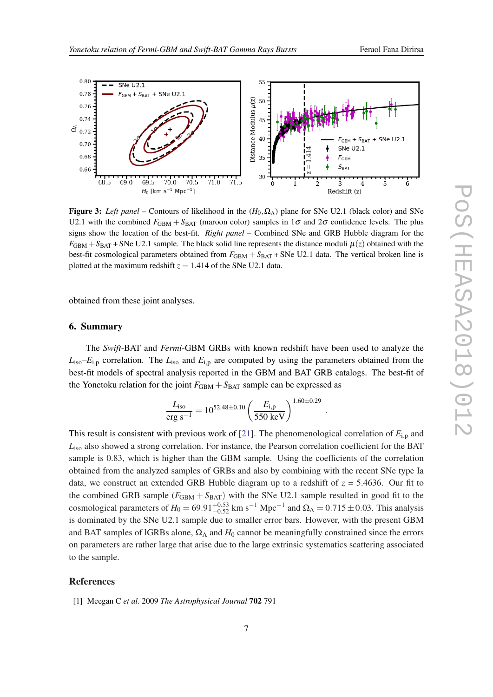<span id="page-6-0"></span>

Figure 3: *Left panel* – Contours of likelihood in the  $(H_0, \Omega_\Lambda)$  plane for SNe U2.1 (black color) and SNe U2.1 with the combined  $F_{\text{GBM}} + S_{\text{BAT}}$  (maroon color) samples in  $1\sigma$  and  $2\sigma$  confidence levels. The plus signs show the location of the best-fit. *Right panel* – Combined SNe and GRB Hubble diagram for the  $F_{\text{GBM}} + S_{\text{BAT}} + S_{\text{Ne}}$  U2.1 sample. The black solid line represents the distance moduli  $\mu(z)$  obtained with the best-fit cosmological parameters obtained from  $F_{\text{GBM}} + S_{\text{BAT}} + S_{\text{N}}$  U2.1 data. The vertical broken line is plotted at the maximum redshift  $z = 1.414$  of the SNe U2.1 data.

obtained from these joint analyses.

## 6. Summary

The *Swift*-BAT and *Fermi*-GBM GRBs with known redshift have been used to analyze the  $L<sub>iso</sub>$ *-E*<sub>i,p</sub> correlation. The  $L<sub>iso</sub>$  and  $E<sub>i,p</sub>$  are computed by using the parameters obtained from the best-fit models of spectral analysis reported in the GBM and BAT GRB catalogs. The best-fit of the Yonetoku relation for the joint  $F_{\text{GBM}} + S_{\text{BAT}}$  sample can be expressed as

$$
\frac{L_{\rm iso}}{\rm erg~s^{-1}} = 10^{52.48 \pm 0.10} \left(\frac{E_{\rm i,p}}{550~{\rm keV}}\right)^{1.60 \pm 0.29}
$$

.

This result is consistent with previous work of [[21\]](#page-7-0). The phenomenological correlation of *E*i,<sup>p</sup> and *L*iso also showed a strong correlation. For instance, the Pearson correlation coefficient for the BAT sample is 0.83, which is higher than the GBM sample. Using the coefficients of the correlation obtained from the analyzed samples of GRBs and also by combining with the recent SNe type Ia data, we construct an extended GRB Hubble diagram up to a redshift of  $z = 5.4636$ . Our fit to the combined GRB sample  $(F_{\text{GBM}} + S_{\text{BAT}})$  with the SNe U2.1 sample resulted in good fit to the cosmological parameters of  $H_0 = 69.91_{-0.52}^{+0.53}$  km s<sup>-1</sup> Mpc<sup>-1</sup> and  $\Omega_{\Lambda} = 0.715 \pm 0.03$ . This analysis is dominated by the SNe U2.1 sample due to smaller error bars. However, with the present GBM and BAT samples of lGRBs alone,  $\Omega_{\Lambda}$  and  $H_0$  cannot be meaningfully constrained since the errors on parameters are rather large that arise due to the large extrinsic systematics scattering associated to the sample.

#### References

[1] Meegan C *et al.* 2009 *The Astrophysical Journal* 702 791